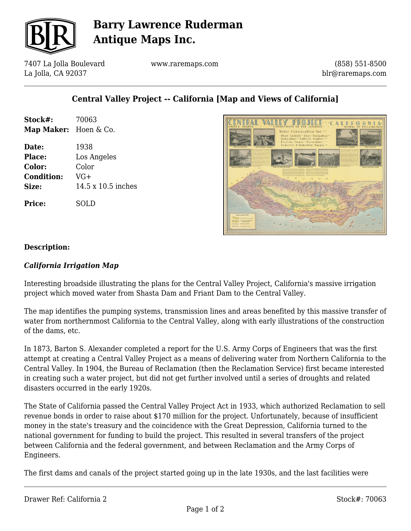

# **Barry Lawrence Ruderman Antique Maps Inc.**

7407 La Jolla Boulevard La Jolla, CA 92037

www.raremaps.com

(858) 551-8500 blr@raremaps.com

## **Central Valley Project -- California [Map and Views of California]**

| Stock#:<br>Map Maker: Hoen & Co. | 70063                     |
|----------------------------------|---------------------------|
| Date:                            | 1938                      |
| <b>Place:</b>                    | Los Angeles               |
| Color:                           | Color                     |
| <b>Condition:</b>                | $VG+$                     |
| Size:                            | $14.5 \times 10.5$ inches |
| <b>Price:</b>                    | SOLD                      |



### **Description:**

#### *California Irrigation Map*

Interesting broadside illustrating the plans for the Central Valley Project, California's massive irrigation project which moved water from Shasta Dam and Friant Dam to the Central Valley.

The map identifies the pumping systems, transmission lines and areas benefited by this massive transfer of water from northernmost California to the Central Valley, along with early illustrations of the construction of the dams, etc.

In 1873, Barton S. Alexander completed a report for the U.S. Army Corps of Engineers that was the first attempt at creating a Central Valley Project as a means of delivering water from Northern California to the Central Valley. In 1904, the Bureau of Reclamation (then the Reclamation Service) first became interested in creating such a water project, but did not get further involved until a series of droughts and related disasters occurred in the early 1920s.

The State of California passed the Central Valley Project Act in 1933, which authorized Reclamation to sell revenue bonds in order to raise about \$170 million for the project. Unfortunately, because of insufficient money in the state's treasury and the coincidence with the Great Depression, California turned to the national government for funding to build the project. This resulted in several transfers of the project between California and the federal government, and between Reclamation and the Army Corps of Engineers.

The first dams and canals of the project started going up in the late 1930s, and the last facilities were